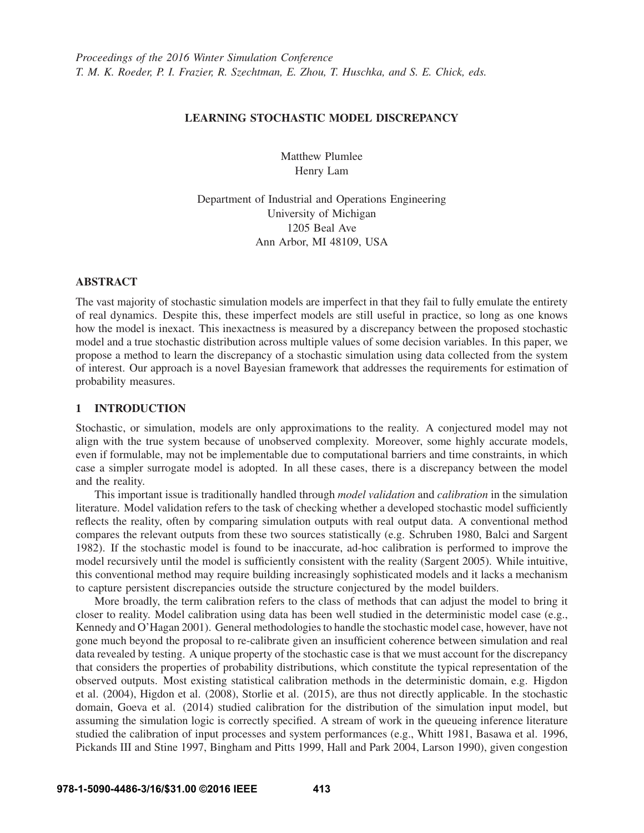## LEARNING STOCHASTIC MODEL DISCREPANCY

Matthew Plumlee Henry Lam

Department of Industrial and Operations Engineering University of Michigan 1205 Beal Ave Ann Arbor, MI 48109, USA

## ABSTRACT

The vast majority of stochastic simulation models are imperfect in that they fail to fully emulate the entirety of real dynamics. Despite this, these imperfect models are still useful in practice, so long as one knows how the model is inexact. This inexactness is measured by a discrepancy between the proposed stochastic model and a true stochastic distribution across multiple values of some decision variables. In this paper, we propose a method to learn the discrepancy of a stochastic simulation using data collected from the system of interest. Our approach is a novel Bayesian framework that addresses the requirements for estimation of probability measures.

## 1 INTRODUCTION

Stochastic, or simulation, models are only approximations to the reality. A conjectured model may not align with the true system because of unobserved complexity. Moreover, some highly accurate models, even if formulable, may not be implementable due to computational barriers and time constraints, in which case a simpler surrogate model is adopted. In all these cases, there is a discrepancy between the model and the reality.

This important issue is traditionally handled through *model validation* and *calibration* in the simulation literature. Model validation refers to the task of checking whether a developed stochastic model sufficiently reflects the reality, often by comparing simulation outputs with real output data. A conventional method compares the relevant outputs from these two sources statistically (e.g. Schruben 1980, Balci and Sargent 1982). If the stochastic model is found to be inaccurate, ad-hoc calibration is performed to improve the model recursively until the model is sufficiently consistent with the reality (Sargent 2005). While intuitive, this conventional method may require building increasingly sophisticated models and it lacks a mechanism to capture persistent discrepancies outside the structure conjectured by the model builders.

More broadly, the term calibration refers to the class of methods that can adjust the model to bring it closer to reality. Model calibration using data has been well studied in the deterministic model case (e.g., Kennedy and O'Hagan 2001). General methodologies to handle the stochastic model case, however, have not gone much beyond the proposal to re-calibrate given an insufficient coherence between simulation and real data revealed by testing. A unique property of the stochastic case is that we must account for the discrepancy that considers the properties of probability distributions, which constitute the typical representation of the observed outputs. Most existing statistical calibration methods in the deterministic domain, e.g. Higdon et al. (2004), Higdon et al. (2008), Storlie et al. (2015), are thus not directly applicable. In the stochastic domain, Goeva et al. (2014) studied calibration for the distribution of the simulation input model, but assuming the simulation logic is correctly specified. A stream of work in the queueing inference literature studied the calibration of input processes and system performances (e.g., Whitt 1981, Basawa et al. 1996, Pickands III and Stine 1997, Bingham and Pitts 1999, Hall and Park 2004, Larson 1990), given congestion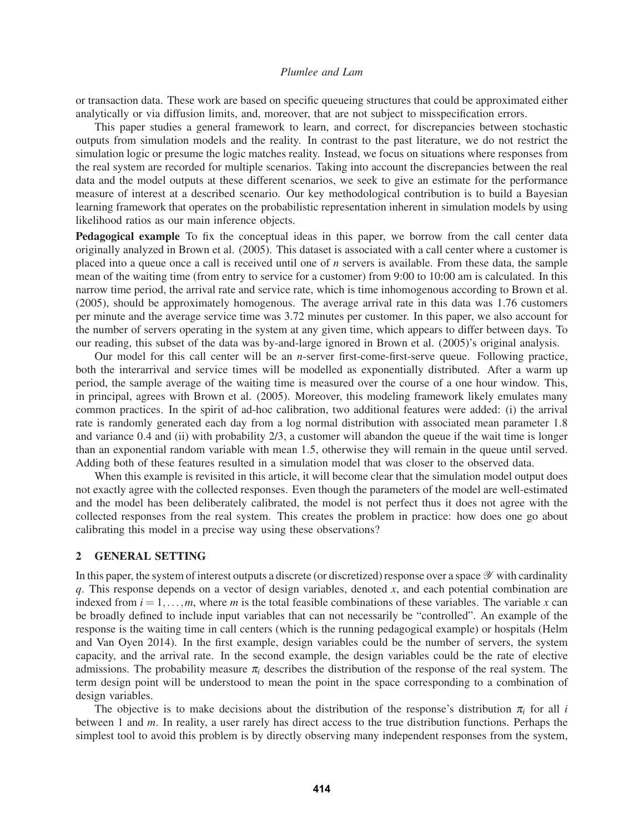or transaction data. These work are based on specific queueing structures that could be approximated either analytically or via diffusion limits, and, moreover, that are not subject to misspecification errors.

This paper studies a general framework to learn, and correct, for discrepancies between stochastic outputs from simulation models and the reality. In contrast to the past literature, we do not restrict the simulation logic or presume the logic matches reality. Instead, we focus on situations where responses from the real system are recorded for multiple scenarios. Taking into account the discrepancies between the real data and the model outputs at these different scenarios, we seek to give an estimate for the performance measure of interest at a described scenario. Our key methodological contribution is to build a Bayesian learning framework that operates on the probabilistic representation inherent in simulation models by using likelihood ratios as our main inference objects.

Pedagogical example To fix the conceptual ideas in this paper, we borrow from the call center data originally analyzed in Brown et al. (2005). This dataset is associated with a call center where a customer is placed into a queue once a call is received until one of *n* servers is available. From these data, the sample mean of the waiting time (from entry to service for a customer) from 9:00 to 10:00 am is calculated. In this narrow time period, the arrival rate and service rate, which is time inhomogenous according to Brown et al. (2005), should be approximately homogenous. The average arrival rate in this data was 1.76 customers per minute and the average service time was 3.72 minutes per customer. In this paper, we also account for the number of servers operating in the system at any given time, which appears to differ between days. To our reading, this subset of the data was by-and-large ignored in Brown et al. (2005)'s original analysis.

Our model for this call center will be an *n*-server first-come-first-serve queue. Following practice, both the interarrival and service times will be modelled as exponentially distributed. After a warm up period, the sample average of the waiting time is measured over the course of a one hour window. This, in principal, agrees with Brown et al. (2005). Moreover, this modeling framework likely emulates many common practices. In the spirit of ad-hoc calibration, two additional features were added: (i) the arrival rate is randomly generated each day from a log normal distribution with associated mean parameter 1.8 and variance 0.4 and (ii) with probability 2/3, a customer will abandon the queue if the wait time is longer than an exponential random variable with mean 1.5, otherwise they will remain in the queue until served. Adding both of these features resulted in a simulation model that was closer to the observed data.

When this example is revisited in this article, it will become clear that the simulation model output does not exactly agree with the collected responses. Even though the parameters of the model are well-estimated and the model has been deliberately calibrated, the model is not perfect thus it does not agree with the collected responses from the real system. This creates the problem in practice: how does one go about calibrating this model in a precise way using these observations?

# 2 GENERAL SETTING

In this paper, the system of interest outputs a discrete (or discretized) response over a space  $\mathscr Y$  with cardinality *q*. This response depends on a vector of design variables, denoted *x*, and each potential combination are indexed from  $i = 1, \ldots, m$ , where *m* is the total feasible combinations of these variables. The variable *x* can be broadly defined to include input variables that can not necessarily be "controlled". An example of the response is the waiting time in call centers (which is the running pedagogical example) or hospitals (Helm and Van Oyen 2014). In the first example, design variables could be the number of servers, the system capacity, and the arrival rate. In the second example, the design variables could be the rate of elective admissions. The probability measure  $\pi_i$  describes the distribution of the response of the real system. The term design point will be understood to mean the point in the space corresponding to a combination of design variables.

The objective is to make decisions about the distribution of the response's distribution  $\pi$ <sub>*i*</sub> for all *i* between 1 and *m*. In reality, a user rarely has direct access to the true distribution functions. Perhaps the simplest tool to avoid this problem is by directly observing many independent responses from the system,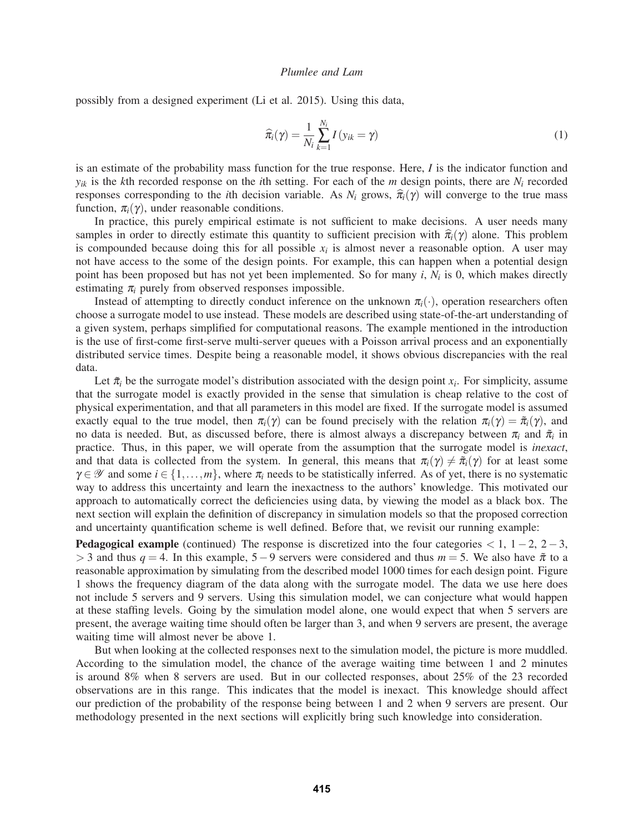possibly from a designed experiment (Li et al. 2015). Using this data,

$$
\widehat{\pi}_i(\gamma) = \frac{1}{N_i} \sum_{k=1}^{N_i} I(y_{ik} = \gamma)
$$
\n(1)

is an estimate of the probability mass function for the true response. Here, *I* is the indicator function and  $y_{ik}$  is the *k*th recorded response on the *i*th setting. For each of the *m* design points, there are  $N_i$  recorded responses corresponding to the *i*th decision variable. As  $N_i$  grows,  $\hat{\pi}_i(\gamma)$  will converge to the true mass function,  $\pi_i(\gamma)$ , under reasonable conditions.

In practice, this purely empirical estimate is not sufficient to make decisions. A user needs many samples in order to directly estimate this quantity to sufficient precision with  $\hat{\pi}_i(\gamma)$  alone. This problem is compounded because doing this for all possible  $x_i$  is almost never a reasonable option. A user may not have access to the some of the design points. For example, this can happen when a potential design point has been proposed but has not yet been implemented. So for many *i*, *Ni* is 0, which makes directly estimating  $\pi$ <sub>*i*</sub> purely from observed responses impossible.

Instead of attempting to directly conduct inference on the unknown  $\pi_i(\cdot)$ , operation researchers often choose a surrogate model to use instead. These models are described using state-of-the-art understanding of a given system, perhaps simplified for computational reasons. The example mentioned in the introduction is the use of first-come first-serve multi-server queues with a Poisson arrival process and an exponentially distributed service times. Despite being a reasonable model, it shows obvious discrepancies with the real data.

Let  $\tilde{\pi}$  be the surrogate model's distribution associated with the design point  $x_i$ . For simplicity, assume that the surrogate model is exactly provided in the sense that simulation is cheap relative to the cost of physical experimentation, and that all parameters in this model are fixed. If the surrogate model is assumed exactly equal to the true model, then  $\pi_i(\gamma)$  can be found precisely with the relation  $\pi_i(\gamma) = \tilde{\pi}_i(\gamma)$ , and no data is needed. But, as discussed before, there is almost always a discrepancy between  $\pi$ <sup>*i*</sup> and  $\tilde{\pi}$ *i* in practice. Thus, in this paper, we will operate from the assumption that the surrogate model is *inexact*, and that data is collected from the system. In general, this means that  $\pi_i(\gamma) \neq \tilde{\pi}_i(\gamma)$  for at least some  $\gamma \in \mathscr{Y}$  and some  $i \in \{1, \ldots, m\}$ , where  $\pi_i$  needs to be statistically inferred. As of yet, there is no systematic way to address this uncertainty and learn the inexactness to the authors' knowledge. This motivated our approach to automatically correct the deficiencies using data, by viewing the model as a black box. The next section will explain the definition of discrepancy in simulation models so that the proposed correction and uncertainty quantification scheme is well defined. Before that, we revisit our running example:

**Pedagogical example** (continued) The response is discretized into the four categories  $\lt 1$ ,  $1-2$ ,  $2-3$ ,  $>$  3 and thus  $q = 4$ . In this example,  $5-9$  servers were considered and thus  $m = 5$ . We also have  $\tilde{\pi}$  to a reasonable approximation by simulating from the described model 1000 times for each design point. Figure 1 shows the frequency diagram of the data along with the surrogate model. The data we use here does not include 5 servers and 9 servers. Using this simulation model, we can conjecture what would happen at these staffing levels. Going by the simulation model alone, one would expect that when 5 servers are present, the average waiting time should often be larger than 3, and when 9 servers are present, the average waiting time will almost never be above 1.

But when looking at the collected responses next to the simulation model, the picture is more muddled. According to the simulation model, the chance of the average waiting time between 1 and 2 minutes is around 8% when 8 servers are used. But in our collected responses, about 25% of the 23 recorded observations are in this range. This indicates that the model is inexact. This knowledge should affect our prediction of the probability of the response being between 1 and 2 when 9 servers are present. Our methodology presented in the next sections will explicitly bring such knowledge into consideration.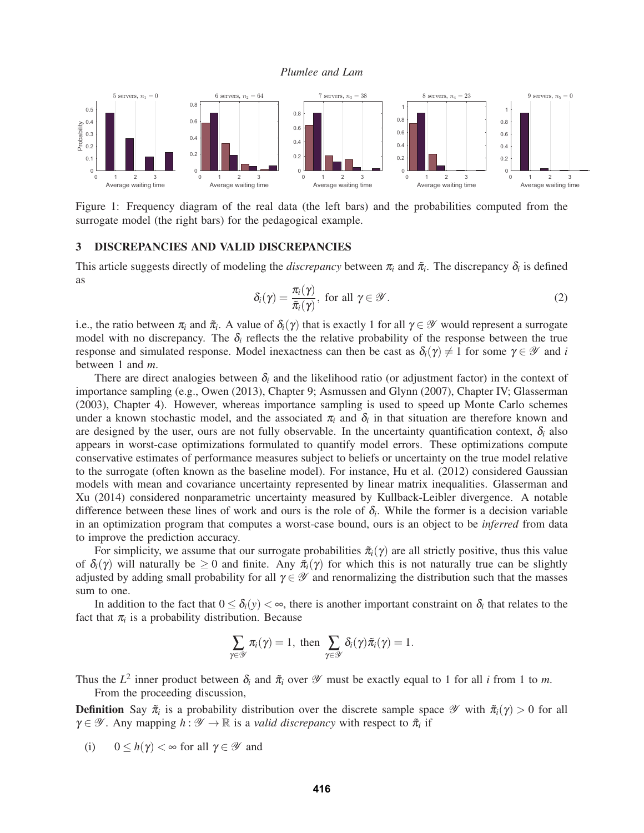

Figure 1: Frequency diagram of the real data (the left bars) and the probabilities computed from the surrogate model (the right bars) for the pedagogical example.

#### 3 DISCREPANCIES AND VALID DISCREPANCIES

This article suggests directly of modeling the *discrepancy* between  $\pi$ *i* and  $\tilde{\pi}$ *i*. The discrepancy  $\delta$ *i* is defined as

$$
\delta_i(\gamma) = \frac{\pi_i(\gamma)}{\tilde{\pi}_i(\gamma)}, \text{ for all } \gamma \in \mathscr{Y}.
$$
 (2)

i.e., the ratio between  $\pi_i$  and  $\tilde{\pi}_i$ . A value of  $\delta_i(\gamma)$  that is exactly 1 for all  $\gamma \in \mathcal{Y}$  would represent a surrogate model with no discrepancy. The  $\delta_i$  reflects the the relative probability of the response between the true response and simulated response. Model inexactness can then be cast as  $\delta_i(\gamma) \neq 1$  for some  $\gamma \in \mathscr{Y}$  and *i* between 1 and *m*.

There are direct analogies between  $\delta_i$  and the likelihood ratio (or adjustment factor) in the context of importance sampling (e.g., Owen (2013), Chapter 9; Asmussen and Glynn (2007), Chapter IV; Glasserman (2003), Chapter 4). However, whereas importance sampling is used to speed up Monte Carlo schemes under a known stochastic model, and the associated  $\pi$ <sub>*i*</sub> and  $\delta$ <sub>*i*</sub> in that situation are therefore known and are designed by the user, ours are not fully observable. In the uncertainty quantification context,  $\delta_i$  also appears in worst-case optimizations formulated to quantify model errors. These optimizations compute conservative estimates of performance measures subject to beliefs or uncertainty on the true model relative to the surrogate (often known as the baseline model). For instance, Hu et al. (2012) considered Gaussian models with mean and covariance uncertainty represented by linear matrix inequalities. Glasserman and Xu (2014) considered nonparametric uncertainty measured by Kullback-Leibler divergence. A notable difference between these lines of work and ours is the role of  $\delta_i$ . While the former is a decision variable in an optimization program that computes a worst-case bound, ours is an object to be *inferred* from data to improve the prediction accuracy.

For simplicity, we assume that our surrogate probabilities  $\tilde{\pi}_i(\gamma)$  are all strictly positive, thus this value of  $\delta_i(\gamma)$  will naturally be  $\geq 0$  and finite. Any  $\tilde{\pi}_i(\gamma)$  for which this is not naturally true can be slightly adjusted by adding small probability for all  $\gamma \in \mathcal{Y}$  and renormalizing the distribution such that the masses sum to one.

In addition to the fact that  $0 \le \delta_i(y) < \infty$ , there is another important constraint on  $\delta_i$  that relates to the fact that  $\pi$ *i* is a probability distribution. Because

$$
\sum_{\gamma \in \mathscr{Y}} \pi_i(\gamma) = 1, \text{ then } \sum_{\gamma \in \mathscr{Y}} \delta_i(\gamma) \tilde{\pi}_i(\gamma) = 1.
$$

Thus the  $L^2$  inner product between  $\delta_i$  and  $\tilde{\pi}_i$  over  $\mathscr Y$  must be exactly equal to 1 for all *i* from 1 to *m*. From the proceeding discussion,

**Definition** Say  $\tilde{\pi}_i$  is a probability distribution over the discrete sample space  $\mathscr Y$  with  $\tilde{\pi}_i(\gamma) > 0$  for all  $\gamma \in \mathscr{Y}$ . Any mapping  $h : \mathscr{Y} \to \mathbb{R}$  is a *valid discrepancy* with respect to  $\tilde{\pi}_i$  if

(i) 
$$
0 \le h(\gamma) < \infty
$$
 for all  $\gamma \in \mathcal{Y}$  and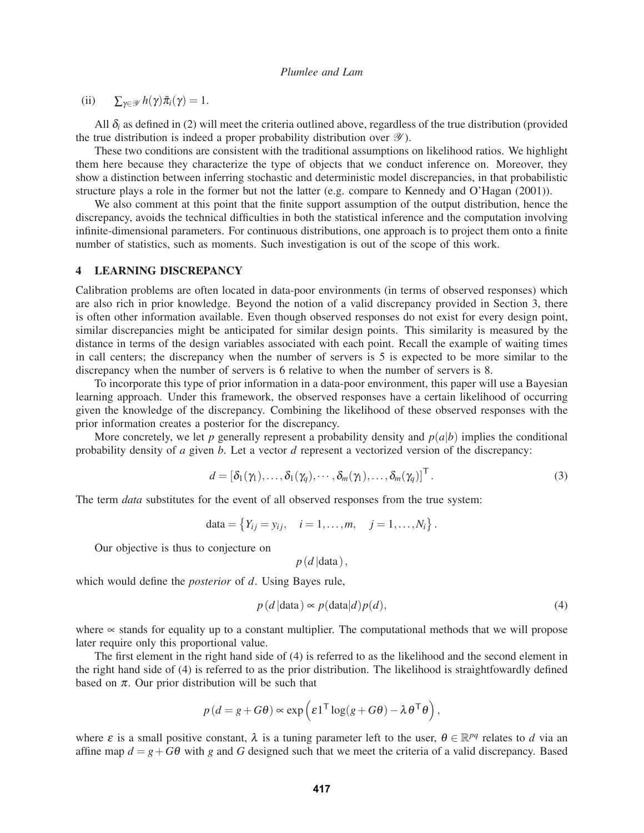(ii)  $\sum_{\gamma \in \mathcal{Y}} h(\gamma) \tilde{\pi}_i(\gamma) = 1.$ 

All  $\delta_i$  as defined in (2) will meet the criteria outlined above, regardless of the true distribution (provided the true distribution is indeed a proper probability distribution over  $\mathscr{Y}$ ).

These two conditions are consistent with the traditional assumptions on likelihood ratios. We highlight them here because they characterize the type of objects that we conduct inference on. Moreover, they show a distinction between inferring stochastic and deterministic model discrepancies, in that probabilistic structure plays a role in the former but not the latter (e.g. compare to Kennedy and O'Hagan (2001)).

We also comment at this point that the finite support assumption of the output distribution, hence the discrepancy, avoids the technical difficulties in both the statistical inference and the computation involving infinite-dimensional parameters. For continuous distributions, one approach is to project them onto a finite number of statistics, such as moments. Such investigation is out of the scope of this work.

#### 4 LEARNING DISCREPANCY

Calibration problems are often located in data-poor environments (in terms of observed responses) which are also rich in prior knowledge. Beyond the notion of a valid discrepancy provided in Section 3, there is often other information available. Even though observed responses do not exist for every design point, similar discrepancies might be anticipated for similar design points. This similarity is measured by the distance in terms of the design variables associated with each point. Recall the example of waiting times in call centers; the discrepancy when the number of servers is 5 is expected to be more similar to the discrepancy when the number of servers is 6 relative to when the number of servers is 8.

To incorporate this type of prior information in a data-poor environment, this paper will use a Bayesian learning approach. Under this framework, the observed responses have a certain likelihood of occurring given the knowledge of the discrepancy. Combining the likelihood of these observed responses with the prior information creates a posterior for the discrepancy.

More concretely, we let *p* generally represent a probability density and  $p(a|b)$  implies the conditional probability density of *a* given *b*. Let a vector *d* represent a vectorized version of the discrepancy:

$$
d = [\delta_1(\gamma_1), \dots, \delta_1(\gamma_q), \dots, \delta_m(\gamma_1), \dots, \delta_m(\gamma_q)]^{\mathsf{T}}.
$$
\n(3)

The term *data* substitutes for the event of all observed responses from the true system:

data = 
$$
\{Y_{ij} = y_{ij}, i = 1,...,m, j = 1,...,N_i\}
$$
.

Our objective is thus to conjecture on

$$
p\left(d\right|\text{data}\right),
$$

which would define the *posterior* of *d*. Using Bayes rule,

$$
p(d|\text{data}) \propto p(\text{data}|d)p(d),\tag{4}
$$

where ∝ stands for equality up to a constant multiplier. The computational methods that we will propose later require only this proportional value.

The first element in the right hand side of (4) is referred to as the likelihood and the second element in the right hand side of (4) is referred to as the prior distribution. The likelihood is straightfowardly defined based on  $\pi$ . Our prior distribution will be such that

$$
p(d = g + G\theta) \propto \exp\left(\epsilon \mathbf{1}^\mathsf{T} \log(g + G\theta) - \lambda \theta^\mathsf{T} \theta\right),\,
$$

where  $\varepsilon$  is a small positive constant,  $\lambda$  is a tuning parameter left to the user,  $\theta \in \mathbb{R}^{pq}$  relates to *d* via an affine map  $d = g + G\theta$  with g and G designed such that we meet the criteria of a valid discrepancy. Based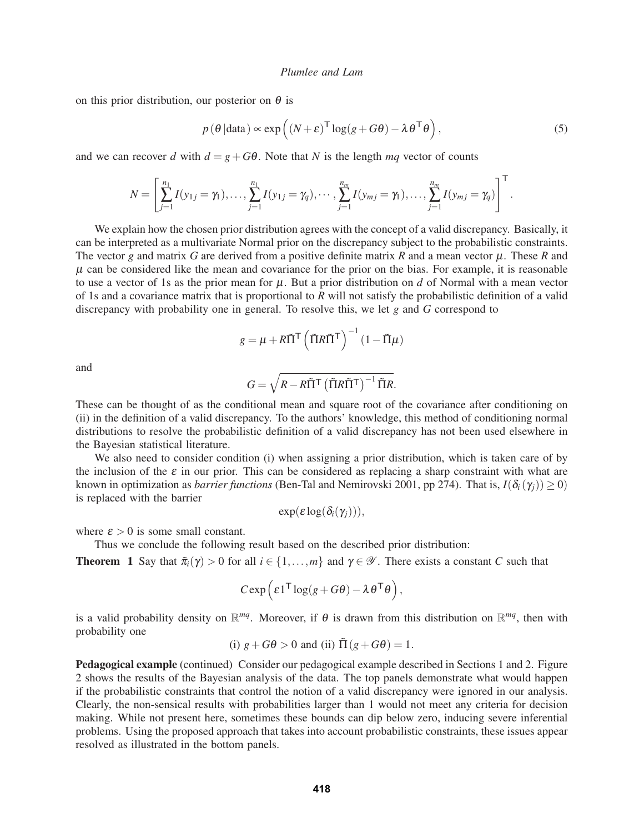on this prior distribution, our posterior on  $\theta$  is

$$
p(\theta | \text{data}) \propto \exp\left( (N + \varepsilon)^{\mathsf{T}} \log(g + G\theta) - \lambda \theta^{\mathsf{T}} \theta \right),\tag{5}
$$

and we can recover *d* with  $d = g + G\theta$ . Note that *N* is the length *mq* vector of counts

$$
N = \left[\sum_{j=1}^{n_1} I(y_{1j} = \gamma_1), \ldots, \sum_{j=1}^{n_1} I(y_{1j} = \gamma_q), \cdots, \sum_{j=1}^{n_m} I(y_{mj} = \gamma_1), \ldots, \sum_{j=1}^{n_m} I(y_{mj} = \gamma_q)\right]^\mathsf{T}.
$$

We explain how the chosen prior distribution agrees with the concept of a valid discrepancy. Basically, it can be interpreted as a multivariate Normal prior on the discrepancy subject to the probabilistic constraints. The vector *g* and matrix *G* are derived from a positive definite matrix *R* and a mean vector μ. These *R* and  $\mu$  can be considered like the mean and covariance for the prior on the bias. For example, it is reasonable to use a vector of 1s as the prior mean for μ. But a prior distribution on *d* of Normal with a mean vector of 1s and a covariance matrix that is proportional to *R* will not satisfy the probabilistic definition of a valid discrepancy with probability one in general. To resolve this, we let *g* and *G* correspond to

$$
g = \mu + R\tilde{\Pi}^{\mathsf{T}} \left( \tilde{\Pi} R \tilde{\Pi}^{\mathsf{T}} \right)^{-1} (1 - \tilde{\Pi}\mu)
$$

and

$$
G=\sqrt{R-R\tilde{\Pi}^{\mathsf{T}}\left(\tilde{\Pi} R\tilde{\Pi}^{\mathsf{T}}\right)^{-1}\tilde{\Pi} R}.
$$

These can be thought of as the conditional mean and square root of the covariance after conditioning on (ii) in the definition of a valid discrepancy. To the authors' knowledge, this method of conditioning normal distributions to resolve the probabilistic definition of a valid discrepancy has not been used elsewhere in the Bayesian statistical literature.

We also need to consider condition (i) when assigning a prior distribution, which is taken care of by the inclusion of the  $\varepsilon$  in our prior. This can be considered as replacing a sharp constraint with what are known in optimization as *barrier functions* (Ben-Tal and Nemirovski 2001, pp 274). That is,  $I(\delta_i(\gamma_i)) \ge 0$ ) is replaced with the barrier

$$
\exp(\pmb{\varepsilon}\log(\pmb{\delta}_i(\pmb{\gamma}_j))),
$$

where  $\epsilon > 0$  is some small constant.

Thus we conclude the following result based on the described prior distribution:

**Theorem 1** Say that  $\tilde{\pi}_i(\gamma) > 0$  for all  $i \in \{1, ..., m\}$  and  $\gamma \in \mathcal{Y}$ . There exists a constant *C* such that

$$
C \exp\left(\epsilon \mathbf{1}^\mathsf{T} \log (g + G \theta) - \lambda \theta^\mathsf{T} \theta\right),\,
$$

is a valid probability density on  $\mathbb{R}^{mq}$ . Moreover, if  $\theta$  is drawn from this distribution on  $\mathbb{R}^{mq}$ , then with probability one

(i) 
$$
g + G\theta > 0
$$
 and (ii)  $\tilde{\Pi}(g + G\theta) = 1$ .

Pedagogical example (continued) Consider our pedagogical example described in Sections 1 and 2. Figure 2 shows the results of the Bayesian analysis of the data. The top panels demonstrate what would happen if the probabilistic constraints that control the notion of a valid discrepancy were ignored in our analysis. Clearly, the non-sensical results with probabilities larger than 1 would not meet any criteria for decision making. While not present here, sometimes these bounds can dip below zero, inducing severe inferential problems. Using the proposed approach that takes into account probabilistic constraints, these issues appear resolved as illustrated in the bottom panels.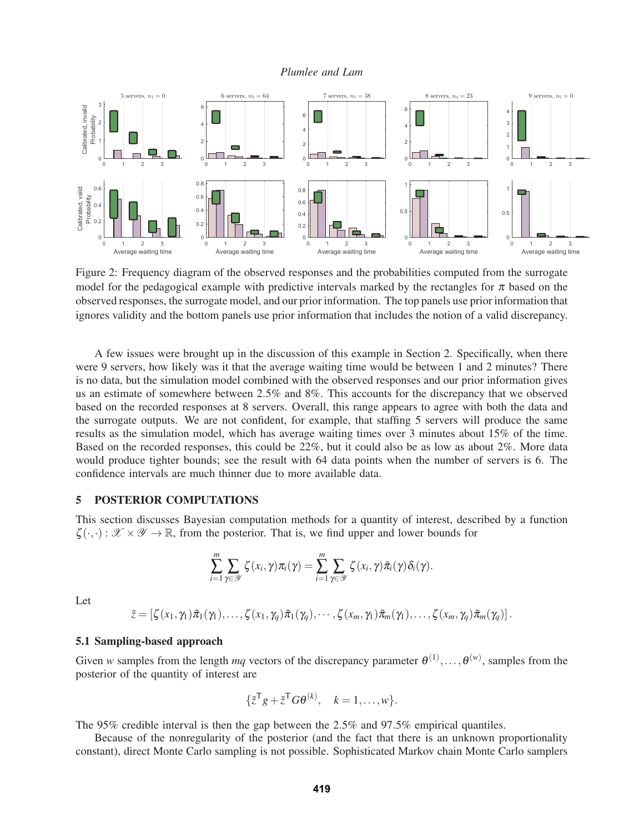

Figure 2: Frequency diagram of the observed responses and the probabilities computed from the surrogate model for the pedagogical example with predictive intervals marked by the rectangles for  $\pi$  based on the observed responses, the surrogate model, and our prior information. The top panels use prior information that ignores validity and the bottom panels use prior information that includes the notion of a valid discrepancy.

A few issues were brought up in the discussion of this example in Section 2. Specifically, when there were 9 servers, how likely was it that the average waiting time would be between 1 and 2 minutes? There is no data, but the simulation model combined with the observed responses and our prior information gives us an estimate of somewhere between 2.5% and 8%. This accounts for the discrepancy that we observed based on the recorded responses at 8 servers. Overall, this range appears to agree with both the data and the surrogate outputs. We are not confident, for example, that staffing 5 servers will produce the same results as the simulation model, which has average waiting times over 3 minutes about 15% of the time. Based on the recorded responses, this could be 22%, but it could also be as low as about 2%. More data would produce tighter bounds; see the result with 64 data points when the number of servers is 6. The confidence intervals are much thinner due to more available data.

## 5 POSTERIOR COMPUTATIONS

This section discusses Bayesian computation methods for a quantity of interest, described by a function  $\zeta(\cdot,\cdot): \mathscr{X} \times \mathscr{Y} \to \mathbb{R}$ , from the posterior. That is, we find upper and lower bounds for

$$
\sum_{i=1}^m \sum_{\gamma \in \mathscr{Y}} \zeta(x_i, \gamma) \pi_i(\gamma) = \sum_{i=1}^m \sum_{\gamma \in \mathscr{Y}} \zeta(x_i, \gamma) \tilde{\pi}_i(\gamma) \delta_i(\gamma).
$$

Let

$$
\tilde{z} = [\zeta(x_1,\gamma_1)\tilde{\pi}_1(\gamma_1),\ldots,\zeta(x_1,\gamma_q)\tilde{\pi}_1(\gamma_q),\cdots,\zeta(x_m,\gamma_1)\tilde{\pi}_m(\gamma_1),\ldots,\zeta(x_m,\gamma_q)\tilde{\pi}_m(\gamma_q)].
$$

# 5.1 Sampling-based approach

Given *w* samples from the length *mq* vectors of the discrepancy parameter  $\theta^{(1)}, \ldots, \theta^{(w)}$ , samples from the posterior of the quantity of interest are

$$
\{\tilde{z}^{\mathsf{T}}g + \tilde{z}^{\mathsf{T}}G\theta^{(k)}, \quad k = 1,\ldots,w\}.
$$

The 95% credible interval is then the gap between the 2.5% and 97.5% empirical quantiles.

Because of the nonregularity of the posterior (and the fact that there is an unknown proportionality constant), direct Monte Carlo sampling is not possible. Sophisticated Markov chain Monte Carlo samplers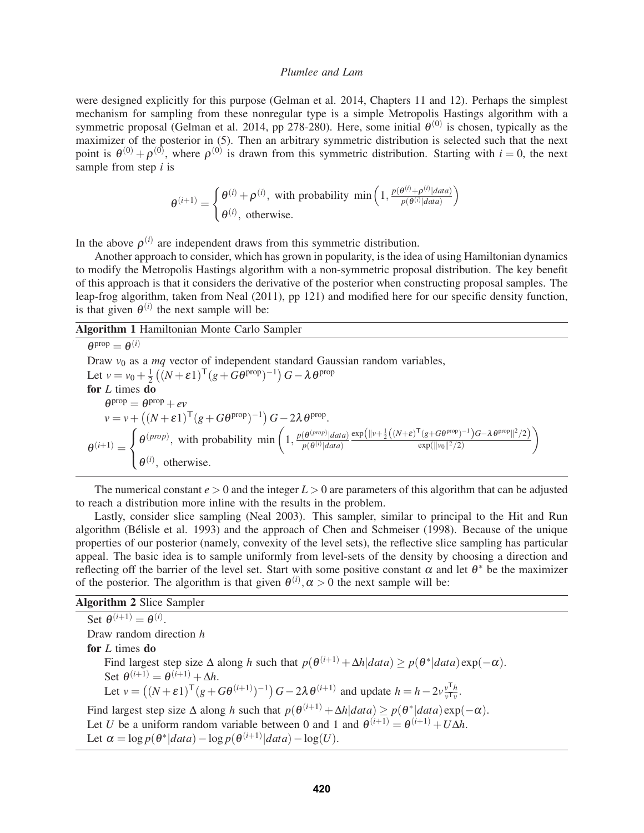were designed explicitly for this purpose (Gelman et al. 2014, Chapters 11 and 12). Perhaps the simplest mechanism for sampling from these nonregular type is a simple Metropolis Hastings algorithm with a symmetric proposal (Gelman et al. 2014, pp 278-280). Here, some initial  $\theta^{(0)}$  is chosen, typically as the maximizer of the posterior in (5). Then an arbitrary symmetric distribution is selected such that the next point is  $\theta^{(0)} + \rho^{(0)}$ , where  $\rho^{(0)}$  is drawn from this symmetric distribution. Starting with  $i = 0$ , the next sample from step *i* is

$$
\theta^{(i+1)} = \begin{cases} \theta^{(i)} + \rho^{(i)}, \text{ with probability } \min\left(1, \frac{p(\theta^{(i)} + \rho^{(i)} | data)}{p(\theta^{(i)} | data)}\right) \\ \theta^{(i)}, \text{ otherwise.} \end{cases}
$$

In the above  $\rho^{(i)}$  are independent draws from this symmetric distribution.

Another approach to consider, which has grown in popularity, is the idea of using Hamiltonian dynamics to modify the Metropolis Hastings algorithm with a non-symmetric proposal distribution. The key benefit of this approach is that it considers the derivative of the posterior when constructing proposal samples. The leap-frog algorithm, taken from Neal (2011), pp 121) and modified here for our specific density function, is that given  $\theta^{(i)}$  the next sample will be:

Algorithm 1 Hamiltonian Monte Carlo Sampler

 $\theta^{prop} = \theta^{(i)}$ Draw  $v_0$  as a *mq* vector of independent standard Gaussian random variables, Let  $v = v_0 + \frac{1}{2} ((N + \varepsilon 1)^{\mathsf{T}} (g + G\theta^{\text{prop}})^{-1}) G - \lambda \theta^{\text{prop}}$ for *L* times do  $\theta^{\text{prop}} = \theta^{\text{prop}} + \epsilon v$  $v = v + ((N + \varepsilon 1)^{\mathsf{T}}(g + G\theta^{\text{prop}})^{-1}) G - 2\lambda \theta^{\text{prop}}.$  $\theta^{(i+1)} =$  $\sqrt{ }$  $\frac{1}{2}$  $\mathbf{I}$  $\theta^{(prop)}$ , with probability min  $\left(1, \frac{p(\theta^{(prop)}|data)}{p(\theta^{(i)})|data}\right)$  $p(\theta^{(i)}|data)$  $\exp\left(\|\nu+\frac{1}{2}\left((N+\varepsilon)^{\mathsf{T}}(g+G\theta^{\mathrm{prop}})^{-1}\right)G-\lambda\theta^{\mathrm{prop}}\|^2/2\right)$  $\exp(\|v_0\|^2/2)$  $\setminus$  $\theta^{(i)}$ , otherwise.

The numerical constant  $e > 0$  and the integer  $L > 0$  are parameters of this algorithm that can be adjusted to reach a distribution more inline with the results in the problem.

Lastly, consider slice sampling (Neal 2003). This sampler, similar to principal to the Hit and Run algorithm (Belisle et al. 1993) and the approach of Chen and Schmeiser (1998). Because of the unique ´ properties of our posterior (namely, convexity of the level sets), the reflective slice sampling has particular appeal. The basic idea is to sample uniformly from level-sets of the density by choosing a direction and reflecting off the barrier of the level set. Start with some positive constant  $\alpha$  and let  $\theta^*$  be the maximizer of the posterior. The algorithm is that given  $\theta^{(i)}$ ,  $\alpha > 0$  the next sample will be:

# Algorithm 2 Slice Sampler

Set  $\theta^{(i+1)} = \theta^{(i)}$ . Draw random direction *h* for *L* times do Find largest step size  $\Delta$  along *h* such that  $p(\theta^{(i+1)} + \Delta h|data) \geq p(\theta^*|data) \exp(-\alpha)$ . Set  $\theta^{(i+1)} = \theta^{(i+1)} + \Delta h$ . Let  $v = ((N + \varepsilon 1)^{\top} (g + G\theta^{(i+1)})^{-1}) G - 2\lambda \theta^{(i+1)}$  and update  $h = h - 2v \frac{v^{\top} h}{v^{\top} v}$ . Find largest step size  $\Delta$  along *h* such that  $p(\theta^{(i+1)} + \Delta h|data) \geq p(\theta^*|data) \exp(-\alpha)$ .

Let *U* be a uniform random variable between 0 and 1 and  $\theta^{(i+1)} = \theta^{(i+1)} + U\Delta h$ .

Let  $\alpha = \log p(\theta^*|data) - \log p(\theta^{(i+1)}|data) - \log(U)$ .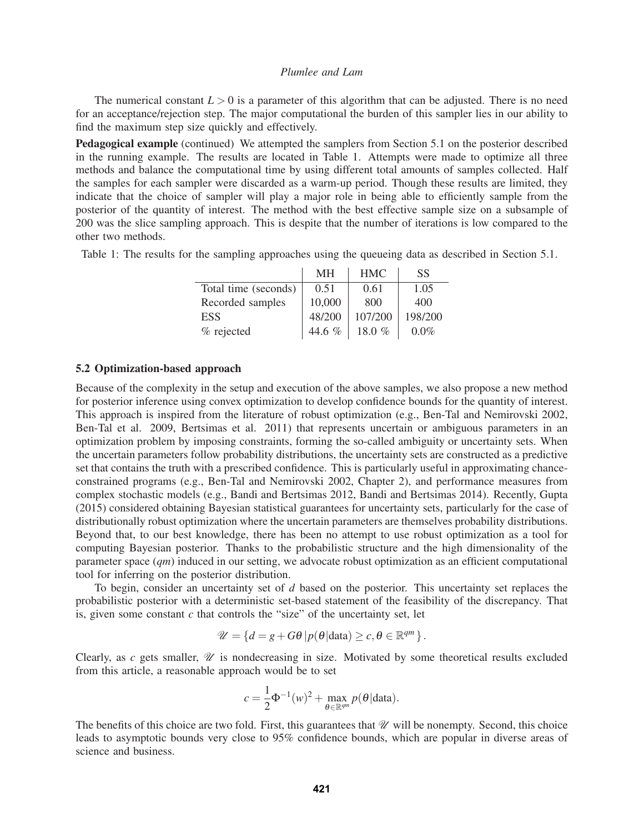The numerical constant  $L > 0$  is a parameter of this algorithm that can be adjusted. There is no need for an acceptance/rejection step. The major computational the burden of this sampler lies in our ability to find the maximum step size quickly and effectively.

Pedagogical example (continued) We attempted the samplers from Section 5.1 on the posterior described in the running example. The results are located in Table 1. Attempts were made to optimize all three methods and balance the computational time by using different total amounts of samples collected. Half the samples for each sampler were discarded as a warm-up period. Though these results are limited, they indicate that the choice of sampler will play a major role in being able to efficiently sample from the posterior of the quantity of interest. The method with the best effective sample size on a subsample of 200 was the slice sampling approach. This is despite that the number of iterations is low compared to the other two methods.

Table 1: The results for the sampling approaches using the queueing data as described in Section 5.1.

 $\sim$ 

|                      | <b>MH</b> | <b>HMC</b> | SS      |
|----------------------|-----------|------------|---------|
| Total time (seconds) | 0.51      | 0.61       | 1.05    |
| Recorded samples     | 10,000    | 800        | 400     |
| ESS                  | 48/200    | 107/200    | 198/200 |
| % rejected           | 44.6 %    | 18.0%      | $0.0\%$ |

#### 5.2 Optimization-based approach

Because of the complexity in the setup and execution of the above samples, we also propose a new method for posterior inference using convex optimization to develop confidence bounds for the quantity of interest. This approach is inspired from the literature of robust optimization (e.g., Ben-Tal and Nemirovski 2002, Ben-Tal et al. 2009, Bertsimas et al. 2011) that represents uncertain or ambiguous parameters in an optimization problem by imposing constraints, forming the so-called ambiguity or uncertainty sets. When the uncertain parameters follow probability distributions, the uncertainty sets are constructed as a predictive set that contains the truth with a prescribed confidence. This is particularly useful in approximating chanceconstrained programs (e.g., Ben-Tal and Nemirovski 2002, Chapter 2), and performance measures from complex stochastic models (e.g., Bandi and Bertsimas 2012, Bandi and Bertsimas 2014). Recently, Gupta (2015) considered obtaining Bayesian statistical guarantees for uncertainty sets, particularly for the case of distributionally robust optimization where the uncertain parameters are themselves probability distributions. Beyond that, to our best knowledge, there has been no attempt to use robust optimization as a tool for computing Bayesian posterior. Thanks to the probabilistic structure and the high dimensionality of the parameter space (*qm*) induced in our setting, we advocate robust optimization as an efficient computational tool for inferring on the posterior distribution.

To begin, consider an uncertainty set of *d* based on the posterior. This uncertainty set replaces the probabilistic posterior with a deterministic set-based statement of the feasibility of the discrepancy. That is, given some constant  $c$  that controls the "size" of the uncertainty set, let

$$
\mathscr{U} = \{d = g + G\theta \, | \, p(\theta | \text{data}) \geq c, \theta \in \mathbb{R}^{qm} \}.
$$

Clearly, as  $c$  gets smaller,  $\mathscr U$  is nondecreasing in size. Motivated by some theoretical results excluded from this article, a reasonable approach would be to set

$$
c = \frac{1}{2}\Phi^{-1}(w)^2 + \max_{\theta \in \mathbb{R}^{qm}} p(\theta | \text{data}).
$$

The benefits of this choice are two fold. First, this guarantees that  $\mathcal U$  will be nonempty. Second, this choice leads to asymptotic bounds very close to 95% confidence bounds, which are popular in diverse areas of science and business.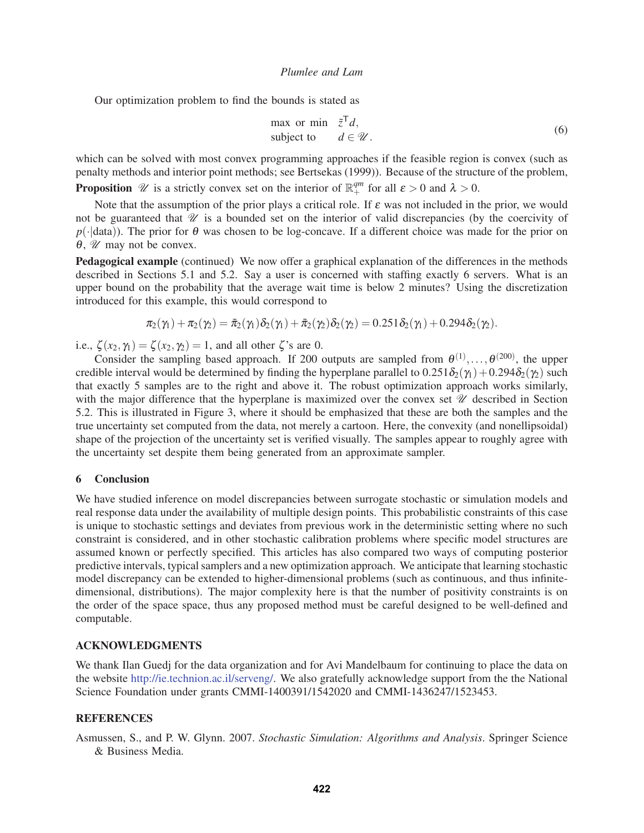Our optimization problem to find the bounds is stated as

$$
\max \text{ or } \min \quad \tilde{z}^{\mathsf{T}}d, \\
\text{subject to} \qquad d \in \mathcal{U}.
$$
\n
$$
(6)
$$

which can be solved with most convex programming approaches if the feasible region is convex (such as penalty methods and interior point methods; see Bertsekas (1999)). Because of the structure of the problem, **Proposition**  $\mathcal{U}$  is a strictly convex set on the interior of  $\mathbb{R}^{qm}_+$  for all  $\varepsilon > 0$  and  $\lambda > 0$ .

Note that the assumption of the prior plays a critical role. If  $\varepsilon$  was not included in the prior, we would not be guaranteed that  $\mathcal U$  is a bounded set on the interior of valid discrepancies (by the coercivity of  $p(\cdot|data)$ ). The prior for  $\theta$  was chosen to be log-concave. If a different choice was made for the prior on  $θ$ , *U* may not be convex.

Pedagogical example (continued) We now offer a graphical explanation of the differences in the methods described in Sections 5.1 and 5.2. Say a user is concerned with staffing exactly 6 servers. What is an upper bound on the probability that the average wait time is below 2 minutes? Using the discretization introduced for this example, this would correspond to

$$
\pi_2(\gamma_1)+\pi_2(\gamma_2)=\tilde{\pi}_2(\gamma_1)\delta_2(\gamma_1)+\tilde{\pi}_2(\gamma_2)\delta_2(\gamma_2)=0.251\delta_2(\gamma_1)+0.294\delta_2(\gamma_2).
$$

i.e.,  $\zeta(x_2, y_1) = \zeta(x_2, y_2) = 1$ , and all other  $\zeta$ 's are 0.

Consider the sampling based approach. If 200 outputs are sampled from  $\theta^{(1)}, \ldots, \theta^{(200)}$ , the upper credible interval would be determined by finding the hyperplane parallel to  $0.251\delta_2(\gamma_1)+0.294\delta_2(\gamma_2)$  such that exactly 5 samples are to the right and above it. The robust optimization approach works similarly, with the major difference that the hyperplane is maximized over the convex set  $\mathcal U$  described in Section 5.2. This is illustrated in Figure 3, where it should be emphasized that these are both the samples and the true uncertainty set computed from the data, not merely a cartoon. Here, the convexity (and nonellipsoidal) shape of the projection of the uncertainty set is verified visually. The samples appear to roughly agree with the uncertainty set despite them being generated from an approximate sampler.

#### 6 Conclusion

We have studied inference on model discrepancies between surrogate stochastic or simulation models and real response data under the availability of multiple design points. This probabilistic constraints of this case is unique to stochastic settings and deviates from previous work in the deterministic setting where no such constraint is considered, and in other stochastic calibration problems where specific model structures are assumed known or perfectly specified. This articles has also compared two ways of computing posterior predictive intervals, typical samplers and a new optimization approach. We anticipate that learning stochastic model discrepancy can be extended to higher-dimensional problems (such as continuous, and thus infinitedimensional, distributions). The major complexity here is that the number of positivity constraints is on the order of the space space, thus any proposed method must be careful designed to be well-defined and computable.

## ACKNOWLEDGMENTS

We thank Ilan Guedj for the data organization and for Avi Mandelbaum for continuing to place the data on the website http://ie.technion.ac.il/serveng/. We also gratefully acknowledge support from the the National Science Foundation under grants CMMI-1400391/1542020 and CMMI-1436247/1523453.

# REFERENCES

Asmussen, S., and P. W. Glynn. 2007. *Stochastic Simulation: Algorithms and Analysis*. Springer Science & Business Media.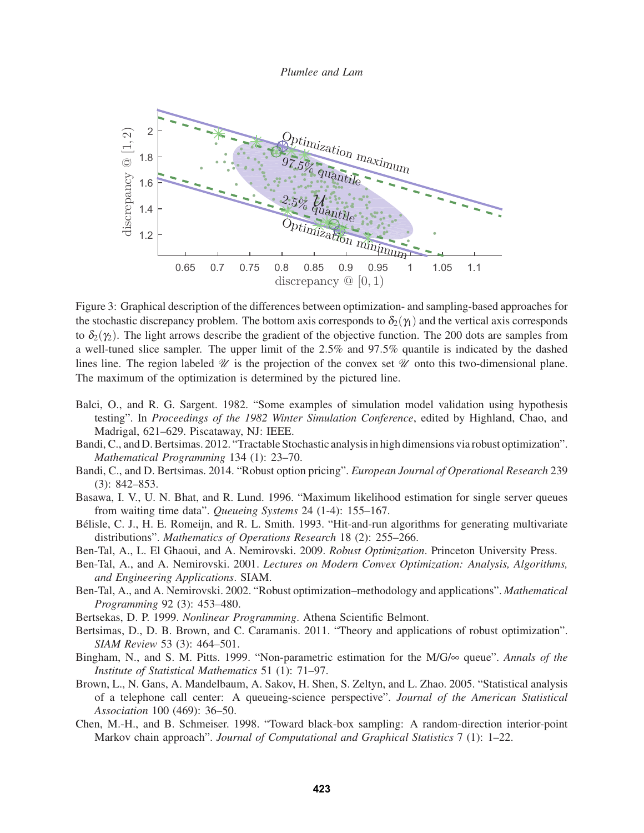*Plumlee and Lam*



Figure 3: Graphical description of the differences between optimization- and sampling-based approaches for the stochastic discrepancy problem. The bottom axis corresponds to  $\delta_2(\gamma_1)$  and the vertical axis corresponds to  $\delta_2(\gamma_2)$ . The light arrows describe the gradient of the objective function. The 200 dots are samples from a well-tuned slice sampler. The upper limit of the 2.5% and 97.5% quantile is indicated by the dashed lines line. The region labeled  $\mathcal U$  is the projection of the convex set  $\mathcal U$  onto this two-dimensional plane. The maximum of the optimization is determined by the pictured line.

- Balci, O., and R. G. Sargent. 1982. "Some examples of simulation model validation using hypothesis testing". In *Proceedings of the 1982 Winter Simulation Conference*, edited by Highland, Chao, and Madrigal, 621–629. Piscataway, NJ: IEEE.
- Bandi, C., and D. Bertsimas. 2012. "Tractable Stochastic analysis in high dimensions via robust optimization". *Mathematical Programming* 134 (1): 23–70.
- Bandi, C., and D. Bertsimas. 2014. "Robust option pricing". *European Journal of Operational Research* 239 (3): 842–853.
- Basawa, I. V., U. N. Bhat, and R. Lund. 1996. "Maximum likelihood estimation for single server queues from waiting time data". *Queueing Systems* 24 (1-4): 155–167.
- Bélisle, C. J., H. E. Romeijn, and R. L. Smith. 1993. "Hit-and-run algorithms for generating multivariate distributions". *Mathematics of Operations Research* 18 (2): 255–266.
- Ben-Tal, A., L. El Ghaoui, and A. Nemirovski. 2009. *Robust Optimization*. Princeton University Press.
- Ben-Tal, A., and A. Nemirovski. 2001. *Lectures on Modern Convex Optimization: Analysis, Algorithms, and Engineering Applications*. SIAM.
- Ben-Tal, A., and A. Nemirovski. 2002. "Robust optimization–methodology and applications". *Mathematical Programming* 92 (3): 453–480.
- Bertsekas, D. P. 1999. *Nonlinear Programming*. Athena Scientific Belmont.
- Bertsimas, D., D. B. Brown, and C. Caramanis. 2011. "Theory and applications of robust optimization". *SIAM Review* 53 (3): 464–501.
- Bingham, N., and S. M. Pitts. 1999. "Non-parametric estimation for the M/G/∞ queue". *Annals of the Institute of Statistical Mathematics* 51 (1): 71–97.
- Brown, L., N. Gans, A. Mandelbaum, A. Sakov, H. Shen, S. Zeltyn, and L. Zhao. 2005. "Statistical analysis of a telephone call center: A queueing-science perspective". *Journal of the American Statistical Association* 100 (469): 36–50.
- Chen, M.-H., and B. Schmeiser. 1998. "Toward black-box sampling: A random-direction interior-point Markov chain approach". *Journal of Computational and Graphical Statistics* 7 (1): 1–22.